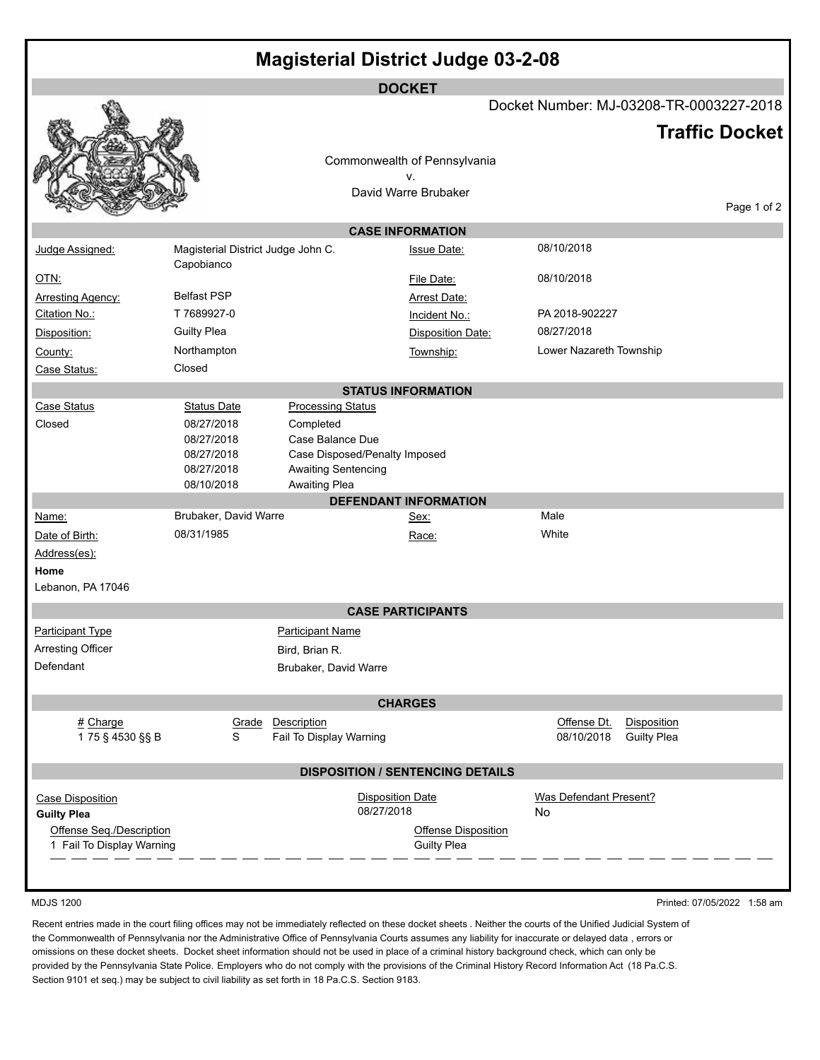| <b>Magisterial District Judge 03-2-08</b>             |                                                  |                                           |                               |                                                  |       |                         |                    |                       |  |  |  |  |  |
|-------------------------------------------------------|--------------------------------------------------|-------------------------------------------|-------------------------------|--------------------------------------------------|-------|-------------------------|--------------------|-----------------------|--|--|--|--|--|
| <b>DOCKET</b>                                         |                                                  |                                           |                               |                                                  |       |                         |                    |                       |  |  |  |  |  |
|                                                       | Docket Number: MJ-03208-TR-0003227-2018          |                                           |                               |                                                  |       |                         |                    |                       |  |  |  |  |  |
|                                                       |                                                  |                                           |                               |                                                  |       |                         |                    | <b>Traffic Docket</b> |  |  |  |  |  |
|                                                       |                                                  |                                           |                               | Commonwealth of Pennsylvania                     |       |                         |                    |                       |  |  |  |  |  |
|                                                       |                                                  |                                           |                               | ٧.                                               |       |                         |                    |                       |  |  |  |  |  |
|                                                       |                                                  |                                           |                               | David Warre Brubaker                             |       |                         |                    | Page 1 of 2           |  |  |  |  |  |
| <b>CASE INFORMATION</b>                               |                                                  |                                           |                               |                                                  |       |                         |                    |                       |  |  |  |  |  |
| Judge Assigned:                                       |                                                  |                                           |                               | <b>Issue Date:</b>                               |       | 08/10/2018              |                    |                       |  |  |  |  |  |
|                                                       | Magisterial District Judge John C.<br>Capobianco |                                           |                               |                                                  |       |                         |                    |                       |  |  |  |  |  |
| <u>OTN:</u>                                           |                                                  |                                           |                               | File Date:                                       |       | 08/10/2018              |                    |                       |  |  |  |  |  |
| <b>Arresting Agency:</b>                              | <b>Belfast PSP</b>                               |                                           |                               | <b>Arrest Date:</b>                              |       |                         |                    |                       |  |  |  |  |  |
| Citation No.:                                         | T 7689927-0                                      |                                           |                               | Incident No.:                                    |       | PA 2018-902227          |                    |                       |  |  |  |  |  |
| Disposition:                                          | <b>Guilty Plea</b>                               |                                           |                               | Disposition Date:                                |       | 08/27/2018              |                    |                       |  |  |  |  |  |
| County:                                               | Northampton                                      |                                           |                               | Township:                                        |       | Lower Nazareth Township |                    |                       |  |  |  |  |  |
| Case Status:                                          | Closed                                           |                                           |                               |                                                  |       |                         |                    |                       |  |  |  |  |  |
|                                                       |                                                  |                                           |                               | <b>STATUS INFORMATION</b>                        |       |                         |                    |                       |  |  |  |  |  |
| Case Status                                           | <b>Status Date</b>                               | <b>Processing Status</b>                  |                               |                                                  |       |                         |                    |                       |  |  |  |  |  |
| Closed                                                | 08/27/2018<br>08/27/2018                         | Completed<br>Case Balance Due             |                               |                                                  |       |                         |                    |                       |  |  |  |  |  |
|                                                       | 08/27/2018                                       |                                           | Case Disposed/Penalty Imposed |                                                  |       |                         |                    |                       |  |  |  |  |  |
|                                                       | 08/27/2018                                       | Awaiting Sentencing                       |                               |                                                  |       |                         |                    |                       |  |  |  |  |  |
|                                                       | 08/10/2018                                       | Awaiting Plea                             |                               |                                                  |       |                         |                    |                       |  |  |  |  |  |
|                                                       |                                                  |                                           |                               | <b>DEFENDANT INFORMATION</b>                     | Male  |                         |                    |                       |  |  |  |  |  |
| Name:                                                 | Brubaker, David Warre<br>08/31/1985              |                                           |                               | Sex:                                             | White |                         |                    |                       |  |  |  |  |  |
| Date of Birth:                                        |                                                  |                                           |                               | Race:                                            |       |                         |                    |                       |  |  |  |  |  |
| Address(es):<br>Home                                  |                                                  |                                           |                               |                                                  |       |                         |                    |                       |  |  |  |  |  |
| Lebanon, PA 17046                                     |                                                  |                                           |                               |                                                  |       |                         |                    |                       |  |  |  |  |  |
|                                                       |                                                  |                                           | <b>CASE PARTICIPANTS</b>      |                                                  |       |                         |                    |                       |  |  |  |  |  |
|                                                       |                                                  |                                           |                               |                                                  |       |                         |                    |                       |  |  |  |  |  |
| Participant Type<br>Arresting Officer                 |                                                  | <b>Participant Name</b><br>Bird, Brian R. |                               |                                                  |       |                         |                    |                       |  |  |  |  |  |
| Defendant                                             | Brubaker, David Warre                            |                                           |                               |                                                  |       |                         |                    |                       |  |  |  |  |  |
|                                                       |                                                  |                                           |                               |                                                  |       |                         |                    |                       |  |  |  |  |  |
| <b>CHARGES</b>                                        |                                                  |                                           |                               |                                                  |       |                         |                    |                       |  |  |  |  |  |
| # Charge                                              | Grade                                            | Description                               |                               |                                                  |       | Offense Dt.             | Disposition        |                       |  |  |  |  |  |
| 175 § 4530 §§ B                                       | S                                                | Fail To Display Warning                   |                               |                                                  |       | 08/10/2018              | <b>Guilty Plea</b> |                       |  |  |  |  |  |
|                                                       | <b>DISPOSITION / SENTENCING DETAILS</b>          |                                           |                               |                                                  |       |                         |                    |                       |  |  |  |  |  |
| Case Disposition                                      |                                                  |                                           | <b>Disposition Date</b>       |                                                  |       | Was Defendant Present?  |                    |                       |  |  |  |  |  |
| <b>Guilty Plea</b>                                    |                                                  |                                           | 08/27/2018                    |                                                  | No    |                         |                    |                       |  |  |  |  |  |
| Offense Seq./Description<br>1 Fail To Display Warning |                                                  |                                           |                               | <b>Offense Disposition</b><br><b>Guilty Plea</b> |       |                         |                    |                       |  |  |  |  |  |
|                                                       |                                                  |                                           |                               |                                                  |       |                         |                    |                       |  |  |  |  |  |

MDJS 1200 Printed: 07/05/2022 1:58 am

Recent entries made in the court filing offices may not be immediately reflected on these docket sheets . Neither the courts of the Unified Judicial System of the Commonwealth of Pennsylvania nor the Administrative Office of Pennsylvania Courts assumes any liability for inaccurate or delayed data , errors or omissions on these docket sheets. Docket sheet information should not be used in place of a criminal history background check, which can only be provided by the Pennsylvania State Police. Employers who do not comply with the provisions of the Criminal History Record Information Act (18 Pa.C.S. Section 9101 et seq.) may be subject to civil liability as set forth in 18 Pa.C.S. Section 9183.